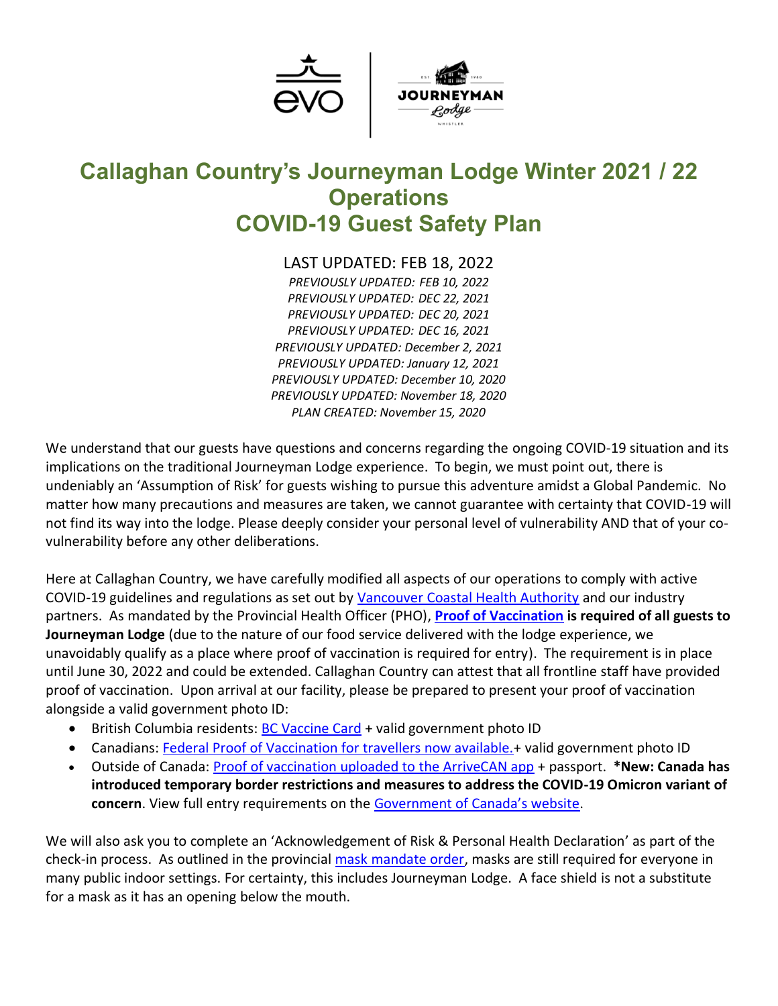

# **Callaghan Country's Journeyman Lodge Winter 2021 / 22 Operations COVID-19 Guest Safety Plan**

LAST UPDATED: FEB 18, 2022

*PREVIOUSLY UPDATED: FEB 10, 2022 PREVIOUSLY UPDATED: DEC 22, 2021 PREVIOUSLY UPDATED: DEC 20, 2021 PREVIOUSLY UPDATED: DEC 16, 2021 PREVIOUSLY UPDATED: December 2, 2021 PREVIOUSLY UPDATED: January 12, 2021 PREVIOUSLY UPDATED: December 10, 2020 PREVIOUSLY UPDATED: November 18, 2020 PLAN CREATED: November 15, 2020*

We understand that our guests have questions and concerns regarding the ongoing COVID-19 situation and its implications on the traditional Journeyman Lodge experience. To begin, we must point out, there is undeniably an 'Assumption of Risk' for guests wishing to pursue this adventure amidst a Global Pandemic. No matter how many precautions and measures are taken, we cannot guarantee with certainty that COVID-19 will not find its way into the lodge. Please deeply consider your personal level of vulnerability AND that of your covulnerability before any other deliberations.

Here at Callaghan Country, we have carefully modified all aspects of our operations to comply with active COVID-19 guidelines and regulations as set out by [Vancouver Coastal Health Authority](http://www.vch.ca/covid-19) and our industry partners. As mandated by the Provincial Health Officer (PHO), **[Proof of Vaccination](https://www2.gov.bc.ca/gov/content/covid-19/vaccine/proof#required) is required of all guests to Journeyman Lodge** (due to the nature of our food service delivered with the lodge experience, we unavoidably qualify as a place where proof of vaccination is required for entry). The requirement is in place until June 30, 2022 and could be extended. Callaghan Country can attest that all frontline staff have provided proof of vaccination. Upon arrival at our facility, please be prepared to present your proof of vaccination alongside a valid government photo ID:

- British Columbia residents: **BC [Vaccine Card](https://www2.gov.bc.ca/gov/content/covid-19/vaccine/proof)** + valid government photo ID
- Canadians: Federal Proof of Vaccination for travellers now available.+ valid government photo ID
- Outside of Canada: Proof of [vaccination uploaded to the ArriveCAN app](https://www.canada.ca/en/immigration-refugees-citizenship/services/canadian-covid-19-proof-vaccination/how-to-use-to-travel.html) + passport. **\*New: Canada has introduced temporary border restrictions and measures to address the COVID-19 Omicron variant of concern**. View full entry requirements on the [Government of Canada's website](https://travel.gc.ca/travel-covid).

We will also ask you to complete an 'Acknowledgement of Risk & Personal Health Declaration' as part of the check-in process. As outlined in the provincial [mask mandate order,](https://www2.gov.bc.ca/gov/content/covid-19/info/restrictions#masks) masks are still required for everyone in many public indoor settings. For certainty, this includes Journeyman Lodge. A face shield is not a substitute for a mask as it has an opening below the mouth.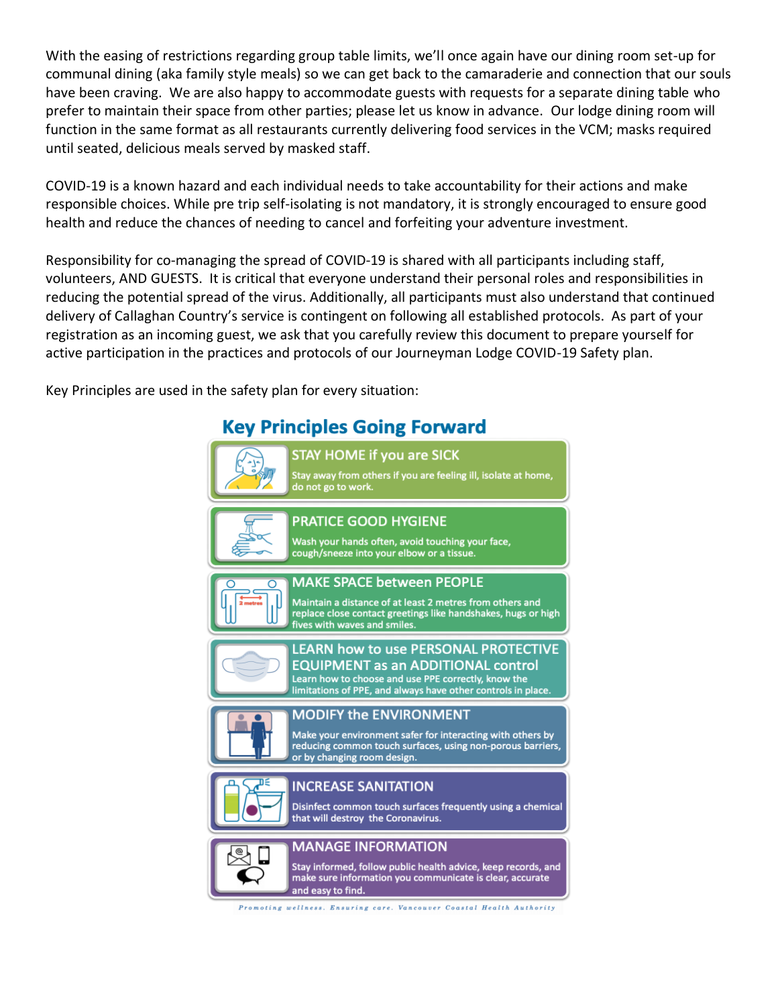With the easing of restrictions regarding group table limits, we'll once again have our dining room set-up for communal dining (aka family style meals) so we can get back to the camaraderie and connection that our souls have been craving. We are also happy to accommodate guests with requests for a separate dining table who prefer to maintain their space from other parties; please let us know in advance. Our lodge dining room will function in the same format as all restaurants currently delivering food services in the VCM; masks required until seated, delicious meals served by masked staff.

COVID-19 is a known hazard and each individual needs to take accountability for their actions and make responsible choices. While pre trip self-isolating is not mandatory, it is strongly encouraged to ensure good health and reduce the chances of needing to cancel and forfeiting your adventure investment.

Responsibility for co-managing the spread of COVID-19 is shared with all participants including staff, volunteers, AND GUESTS. It is critical that everyone understand their personal roles and responsibilities in reducing the potential spread of the virus. Additionally, all participants must also understand that continued delivery of Callaghan Country's service is contingent on following all established protocols. As part of your registration as an incoming guest, we ask that you carefully review this document to prepare yourself for active participation in the practices and protocols of our Journeyman Lodge COVID-19 Safety plan.

Key Principles are used in the safety plan for every situation:

# **Key Principles Going Forward**



Promoting wellness. Ensuring care. Vancouver Coastal Health Authority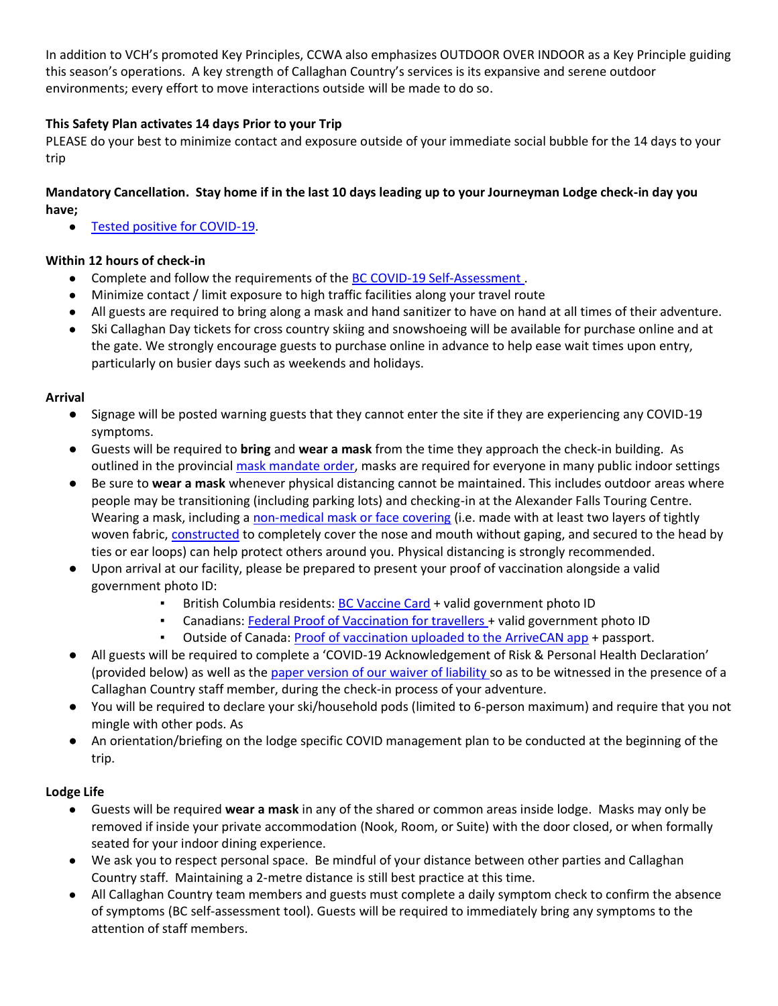In addition to VCH's promoted Key Principles, CCWA also emphasizes OUTDOOR OVER INDOOR as a Key Principle guiding this season's operations. A key strength of Callaghan Country's services is its expansive and serene outdoor environments; every effort to move interactions outside will be made to do so.

## **This Safety Plan activates 14 days Prior to your Trip**

PLEASE do your best to minimize contact and exposure outside of your immediate social bubble for the 14 days to your trip

# **Mandatory Cancellation. Stay home if in the last 10 days leading up to your Journeyman Lodge check-in day you have;**

● [Tested positive for COVID-19.](http://www.bccdc.ca/health-info/diseases-conditions/covid-19/self-isolation)

## **Within 12 hours of check-in**

- Complete and follow the requirements of the [BC COVID-19 Self-Assessment](https://bc.thrive.health/covid19/recommendation/en).
- Minimize contact / limit exposure to high traffic facilities along your travel route
- All guests are required to bring along a mask and hand sanitizer to have on hand at all times of their adventure.
- Ski Callaghan Day tickets for cross country skiing and snowshoeing will be available for purchase online and at the gate. We strongly encourage guests to purchase online in advance to help ease wait times upon entry, particularly on busier days such as weekends and holidays.

#### **Arrival**

- Signage will be posted warning guests that they cannot enter the site if they are experiencing any COVID-19 symptoms.
- Guests will be required to **bring** and **wear a mask** from the time they approach the check-in building. As outlined in the provincial [mask mandate order,](https://www2.gov.bc.ca/gov/content/covid-19/info/restrictions#masks) masks are required for everyone in many public indoor settings
- Be sure to **wear a mask** whenever physical distancing cannot be maintained. This includes outdoor areas where people may be transitioning (including parking lots) and checking-in at the Alexander Falls Touring Centre. Wearing a mask, including a [non-medical mask or face covering](https://www.canada.ca/en/public-health/services/diseases/2019-novel-coronavirus-infection/prevention-risks/about-non-medical-masks-face-coverings.html) (i.e. made with at least two layers of tightly woven fabric, [constructed](https://www.canada.ca/en/public-health/services/diseases/2019-novel-coronavirus-infection/prevention-risks/sew-no-sew-instructions-non-medical-masks-face-coverings.html) to completely cover the nose and mouth without gaping, and secured to the head by ties or ear loops) can help protect others around you. Physical distancing is strongly recommended.
- Upon arrival at our facility, please be prepared to present your proof of vaccination alongside a valid government photo ID:
	- **•** British Columbia residents: BC [Vaccine Card](https://www2.gov.bc.ca/gov/content/covid-19/vaccine/proof) + valid government photo ID
	- Canadians: Federal Proof of Vaccination for travellers + valid government photo ID
	- Outside of Canada: Proof of [vaccination uploaded to the ArriveCAN app](https://www.canada.ca/en/immigration-refugees-citizenship/services/canadian-covid-19-proof-vaccination/how-to-use-to-travel.html) + passport.
- All guests will be required to complete a 'COVID-19 Acknowledgement of Risk & Personal Health Declaration' (provided below) as well as the [paper version of our](https://www.callaghancountry.com/waiver.html) waiver of liability so as to be witnessed in the presence of a Callaghan Country staff member, during the check-in process of your adventure.
- You will be required to declare your ski/household pods (limited to 6-person maximum) and require that you not mingle with other pods. As
- An orientation/briefing on the lodge specific COVID management plan to be conducted at the beginning of the trip.

#### **Lodge Life**

- Guests will be required **wear a mask** in any of the shared or common areas inside lodge. Masks may only be removed if inside your private accommodation (Nook, Room, or Suite) with the door closed, or when formally seated for your indoor dining experience.
- We ask you to respect personal space. Be mindful of your distance between other parties and Callaghan Country staff. Maintaining a 2-metre distance is still best practice at this time.
- All Callaghan Country team members and guests must complete a daily symptom check to confirm the absence of symptoms (BC self-assessment tool). Guests will be required to immediately bring any symptoms to the attention of staff members.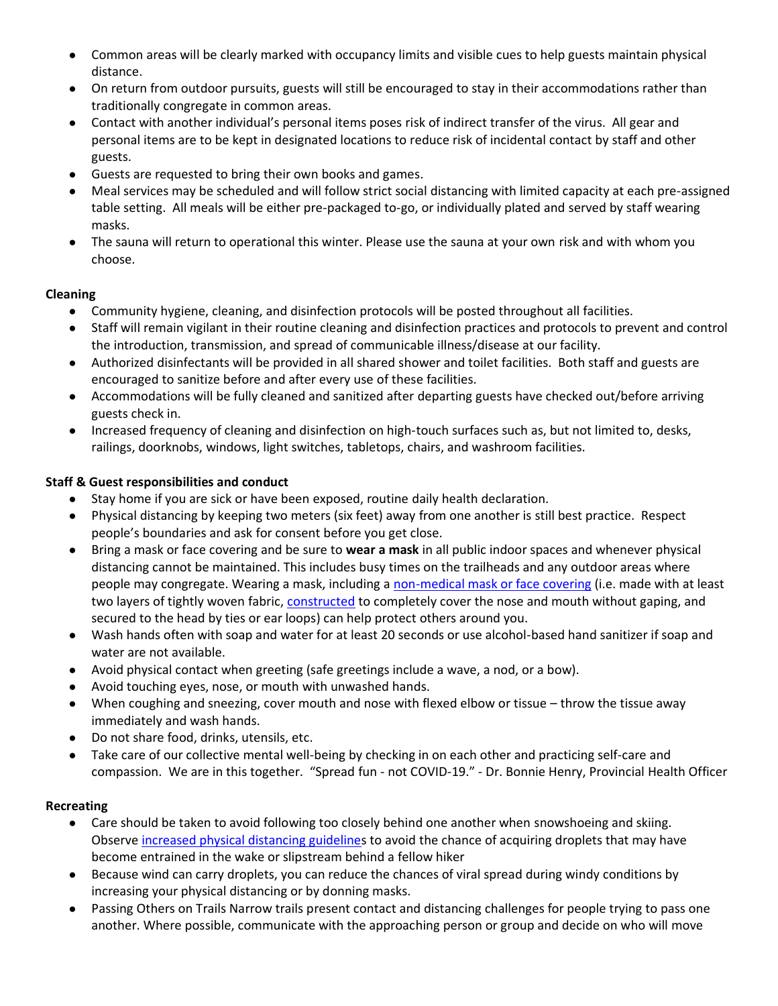- Common areas will be clearly marked with occupancy limits and visible cues to help guests maintain physical distance.
- On return from outdoor pursuits, guests will still be encouraged to stay in their accommodations rather than traditionally congregate in common areas.
- Contact with another individual's personal items poses risk of indirect transfer of the virus. All gear and personal items are to be kept in designated locations to reduce risk of incidental contact by staff and other guests.
- Guests are requested to bring their own books and games.
- Meal services may be scheduled and will follow strict social distancing with limited capacity at each pre-assigned table setting. All meals will be either pre-packaged to-go, or individually plated and served by staff wearing masks.
- The sauna will return to operational this winter. Please use the sauna at your own risk and with whom you choose.

#### **Cleaning**

- Community hygiene, cleaning, and disinfection protocols will be posted throughout all facilities.
- Staff will remain vigilant in their routine cleaning and disinfection practices and protocols to prevent and control the introduction, transmission, and spread of communicable illness/disease at our facility.
- Authorized disinfectants will be provided in all shared shower and toilet facilities. Both staff and guests are encouraged to sanitize before and after every use of these facilities.
- Accommodations will be fully cleaned and sanitized after departing guests have checked out/before arriving guests check in.
- Increased frequency of cleaning and disinfection on high-touch surfaces such as, but not limited to, desks, railings, doorknobs, windows, light switches, tabletops, chairs, and washroom facilities.

#### **Staff & Guest responsibilities and conduct**

- Stay home if you are sick or have been exposed, routine daily health declaration.
- Physical distancing by keeping two meters (six feet) away from one another is still best practice. Respect people's boundaries and ask for consent before you get close.
- Bring a mask or face covering and be sure to **wear a mask** in all public indoor spaces and whenever physical distancing cannot be maintained. This includes busy times on the trailheads and any outdoor areas where people may congregate. Wearing a mask, including a [non-medical mask or face covering](https://www.canada.ca/en/public-health/services/diseases/2019-novel-coronavirus-infection/prevention-risks/about-non-medical-masks-face-coverings.html) (i.e. made with at least two layers of tightly woven fabric, [constructed](https://www.canada.ca/en/public-health/services/diseases/2019-novel-coronavirus-infection/prevention-risks/sew-no-sew-instructions-non-medical-masks-face-coverings.html) to completely cover the nose and mouth without gaping, and secured to the head by ties or ear loops) can help protect others around you.
- Wash hands often with soap and water for at least 20 seconds or use alcohol-based hand sanitizer if soap and water are not available.
- Avoid physical contact when greeting (safe greetings include a wave, a nod, or a bow).
- Avoid touching eyes, nose, or mouth with unwashed hands.
- When coughing and sneezing, cover mouth and nose with flexed elbow or tissue throw the tissue away immediately and wash hands.
- Do not share food, drinks, utensils, etc.
- Take care of our collective mental well-being by checking in on each other and practicing self-care and compassion. We are in this together. "Spread fun - not COVID-19." - Dr. Bonnie Henry, Provincial Health Officer

#### **Recreating**

- Care should be taken to avoid following too closely behind one another when snowshoeing and skiing. Observe [increased physical distancing guidelines](https://www.ctvnews.ca/health/coronavirus/walking-running-or-cycling-why-you-should-leave-more-than-two-metres-of-space-1.4889825) to avoid the chance of acquiring droplets that may have become entrained in the wake or slipstream behind a fellow hiker
- Because wind can carry droplets, you can reduce the chances of viral spread during windy conditions by increasing your physical distancing or by donning masks.
- Passing Others on Trails Narrow trails present contact and distancing challenges for people trying to pass one another. Where possible, communicate with the approaching person or group and decide on who will move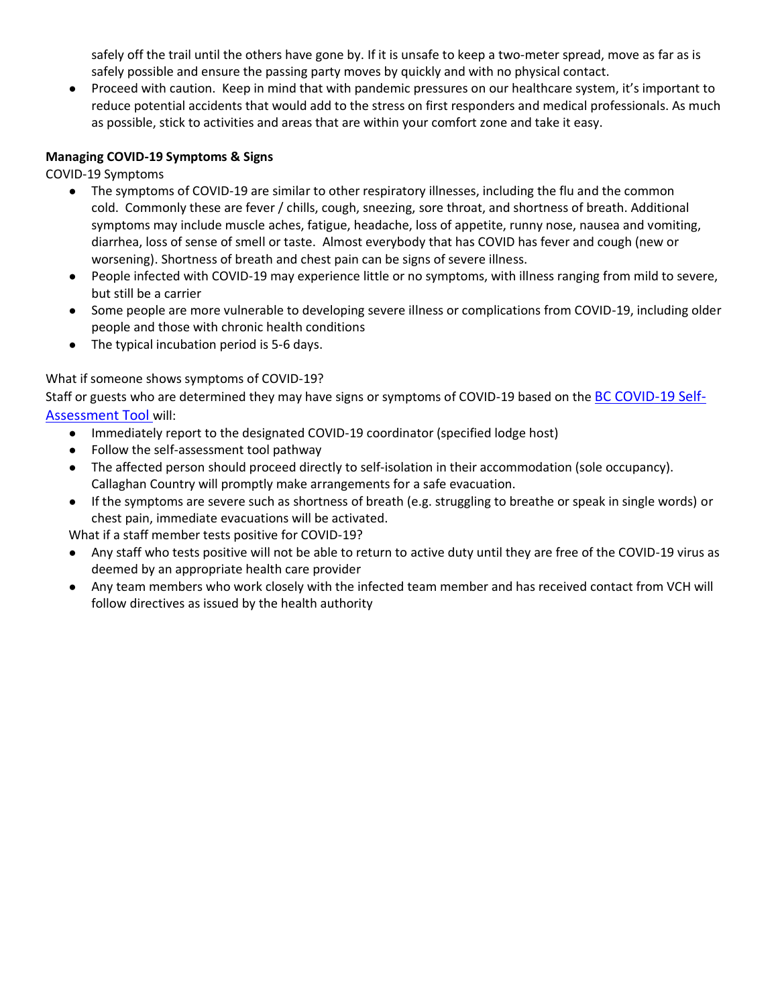safely off the trail until the others have gone by. If it is unsafe to keep a two-meter spread, move as far as is safely possible and ensure the passing party moves by quickly and with no physical contact.

● Proceed with caution. Keep in mind that with pandemic pressures on our healthcare system, it's important to reduce potential accidents that would add to the stress on first responders and medical professionals. As much as possible, stick to activities and areas that are within your comfort zone and take it easy.

#### **Managing COVID-19 Symptoms & Signs**

COVID-19 Symptoms

- The symptoms of COVID-19 are similar to other respiratory illnesses, including the flu and the common cold. Commonly these are fever / chills, cough, sneezing, sore throat, and shortness of breath. Additional symptoms may include muscle aches, fatigue, headache, loss of appetite, runny nose, nausea and vomiting, diarrhea, loss of sense of smell or taste. Almost everybody that has COVID has fever and cough (new or worsening). Shortness of breath and chest pain can be signs of severe illness.
- People infected with COVID-19 may experience little or no symptoms, with illness ranging from mild to severe, but still be a carrier
- Some people are more vulnerable to developing severe illness or complications from COVID-19, including older people and those with chronic health conditions
- The typical incubation period is 5-6 days.

#### What if someone shows symptoms of COVID-19?

Staff or guests who are determined they may have signs or symptoms of COVID-19 based on the [BC COVID-19 Self-](https://bc.thrive.health/covid19/en)[Assessment Tool](https://bc.thrive.health/covid19/en) will:

- Immediately report to the designated COVID-19 coordinator (specified lodge host)
- Follow the self-assessment tool pathway
- The affected person should proceed directly to self-isolation in their accommodation (sole occupancy). Callaghan Country will promptly make arrangements for a safe evacuation.
- If the symptoms are severe such as shortness of breath (e.g. struggling to breathe or speak in single words) or chest pain, immediate evacuations will be activated.

What if a staff member tests positive for COVID-19?

- Any staff who tests positive will not be able to return to active duty until they are free of the COVID-19 virus as deemed by an appropriate health care provider
- Any team members who work closely with the infected team member and has received contact from VCH will follow directives as issued by the health authority